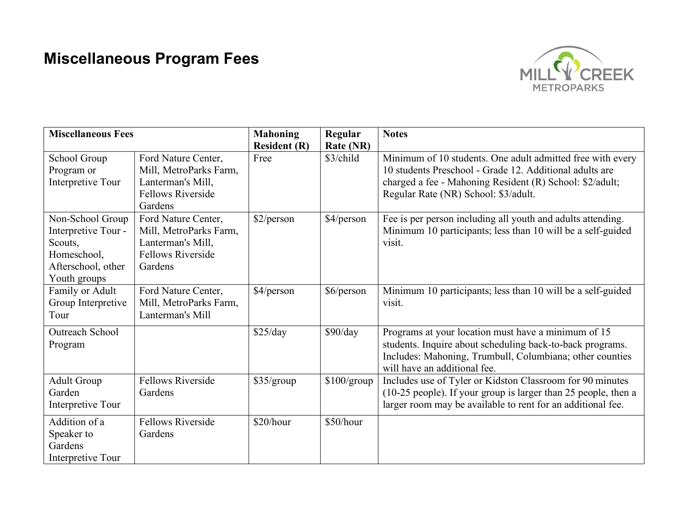## **Miscellaneous Program Fees**



| <b>Miscellaneous Fees</b>                                                                               |                                                                                                           | <b>Mahoning</b>     | Regular          | <b>Notes</b>                                                                                                                                                                                                              |
|---------------------------------------------------------------------------------------------------------|-----------------------------------------------------------------------------------------------------------|---------------------|------------------|---------------------------------------------------------------------------------------------------------------------------------------------------------------------------------------------------------------------------|
|                                                                                                         |                                                                                                           | <b>Resident (R)</b> | <b>Rate (NR)</b> |                                                                                                                                                                                                                           |
| School Group<br>Program or<br>Interpretive Tour                                                         | Ford Nature Center,<br>Mill, MetroParks Farm,<br>Lanterman's Mill,<br><b>Fellows Riverside</b><br>Gardens | Free                | \$3/child        | Minimum of 10 students. One adult admitted free with every<br>10 students Preschool - Grade 12. Additional adults are<br>charged a fee - Mahoning Resident (R) School: \$2/adult;<br>Regular Rate (NR) School: \$3/adult. |
| Non-School Group<br>Interpretive Tour -<br>Scouts,<br>Homeschool,<br>Afterschool, other<br>Youth groups | Ford Nature Center,<br>Mill, MetroParks Farm,<br>Lanterman's Mill,<br><b>Fellows Riverside</b><br>Gardens | \$2/person          | \$4/person       | Fee is per person including all youth and adults attending.<br>Minimum 10 participants; less than 10 will be a self-guided<br>visit.                                                                                      |
| Family or Adult<br>Group Interpretive<br>Tour                                                           | Ford Nature Center,<br>Mill, MetroParks Farm,<br>Lanterman's Mill                                         | \$4/person          | \$6/person       | Minimum 10 participants; less than 10 will be a self-guided<br>visit.                                                                                                                                                     |
| Outreach School<br>Program                                                                              |                                                                                                           | \$25/day            | \$90/day         | Programs at your location must have a minimum of 15<br>students. Inquire about scheduling back-to-back programs.<br>Includes: Mahoning, Trumbull, Columbiana; other counties<br>will have an additional fee.              |
| <b>Adult Group</b><br>Garden<br>Interpretive Tour                                                       | <b>Fellows Riverside</b><br>Gardens                                                                       | \$35/group          | \$100/group      | Includes use of Tyler or Kidston Classroom for 90 minutes<br>(10-25 people). If your group is larger than 25 people, then a<br>larger room may be available to rent for an additional fee.                                |
| Addition of a<br>Speaker to<br>Gardens<br>Interpretive Tour                                             | <b>Fellows Riverside</b><br>Gardens                                                                       | \$20/hour           | \$50/hour        |                                                                                                                                                                                                                           |